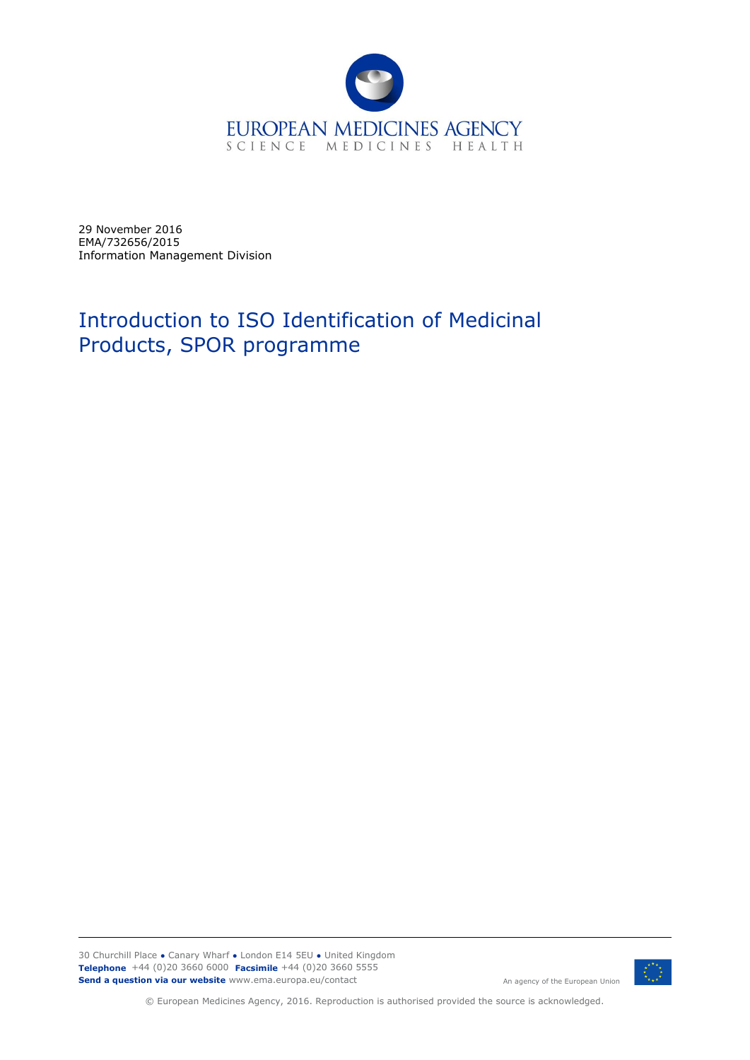

29 November 2016 EMA/732656/2015 Information Management Division

# Introduction to ISO Identification of Medicinal Products, SPOR programme

30 Churchill Place **●** Canary Wharf **●** London E14 5EU **●** United Kingdom **Telephone** +44 (0)20 3660 6000 **Facsimile** +44 (0)20 3660 5555 **Send a question via our website** www.ema.europa.eu/contact



© European Medicines Agency, 2016. Reproduction is authorised provided the source is acknowledged.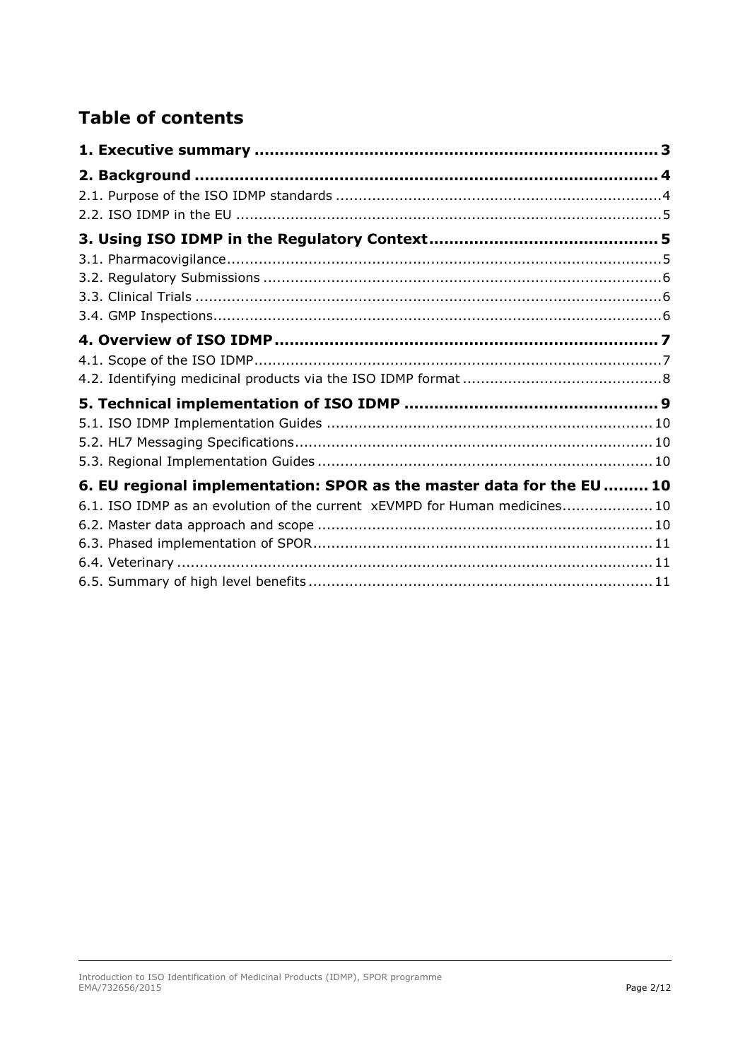## **Table of contents**

| 6. EU regional implementation: SPOR as the master data for the EU  10     |  |
|---------------------------------------------------------------------------|--|
| 6.1. ISO IDMP as an evolution of the current xEVMPD for Human medicines10 |  |
|                                                                           |  |
|                                                                           |  |
|                                                                           |  |
|                                                                           |  |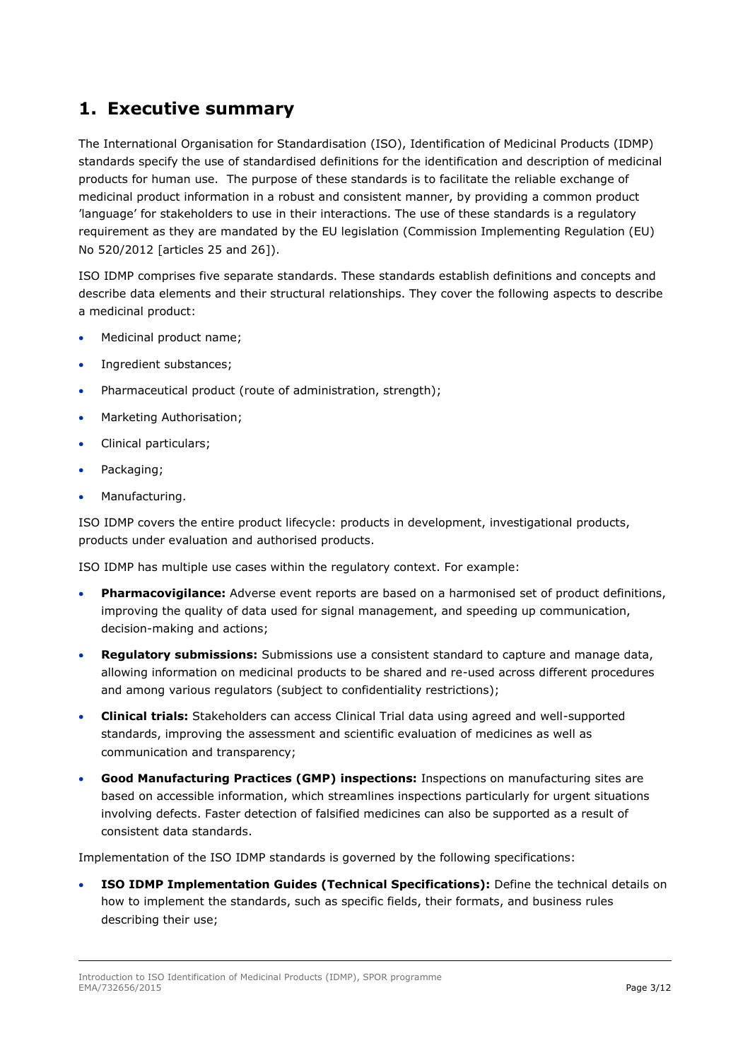## <span id="page-2-0"></span>**1. Executive summary**

The International Organisation for Standardisation (ISO), Identification of Medicinal Products (IDMP) standards specify the use of standardised definitions for the identification and description of medicinal products for human use. The purpose of these standards is to facilitate the reliable exchange of medicinal product information in a robust and consistent manner, by providing a common product 'language' for stakeholders to use in their interactions. The use of these standards is a regulatory requirement as they are mandated by the EU legislation (Commission Implementing Regulation (EU) No 520/2012 [articles 25 and 26]).

ISO IDMP comprises five separate standards. These standards establish definitions and concepts and describe data elements and their structural relationships. They cover the following aspects to describe a medicinal product:

- Medicinal product name;
- Ingredient substances;
- Pharmaceutical product (route of administration, strength);
- Marketing Authorisation;
- Clinical particulars;
- Packaging;
- Manufacturing.

ISO IDMP covers the entire product lifecycle: products in development, investigational products, products under evaluation and authorised products.

ISO IDMP has multiple use cases within the regulatory context. For example:

- **Pharmacovigilance:** Adverse event reports are based on a harmonised set of product definitions, improving the quality of data used for signal management, and speeding up communication, decision-making and actions;
- **Regulatory submissions:** Submissions use a consistent standard to capture and manage data, allowing information on medicinal products to be shared and re-used across different procedures and among various regulators (subject to confidentiality restrictions);
- **Clinical trials:** Stakeholders can access Clinical Trial data using agreed and well-supported standards, improving the assessment and scientific evaluation of medicines as well as communication and transparency;
- **Good Manufacturing Practices (GMP) inspections:** Inspections on manufacturing sites are based on accessible information, which streamlines inspections particularly for urgent situations involving defects. Faster detection of falsified medicines can also be supported as a result of consistent data standards.

Implementation of the ISO IDMP standards is governed by the following specifications:

 **ISO IDMP Implementation Guides (Technical Specifications):** Define the technical details on how to implement the standards, such as specific fields, their formats, and business rules describing their use;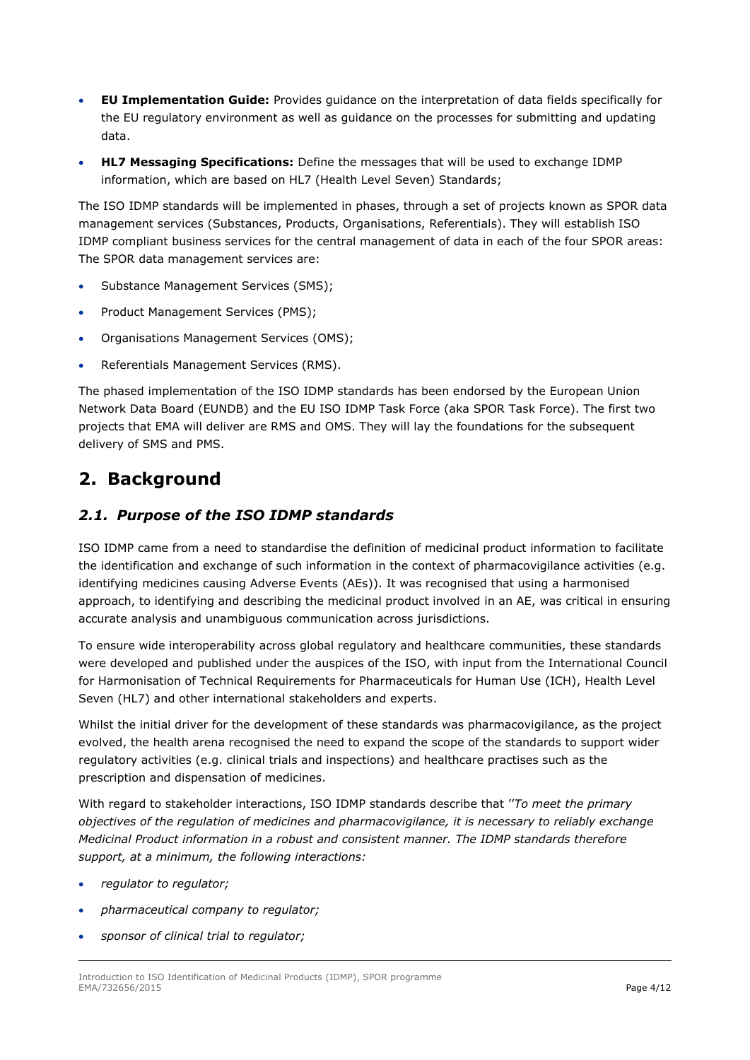- **EU Implementation Guide:** Provides guidance on the interpretation of data fields specifically for the EU regulatory environment as well as guidance on the processes for submitting and updating data.
- **HL7 Messaging Specifications:** Define the messages that will be used to exchange IDMP information, which are based on HL7 (Health Level Seven) Standards;

The ISO IDMP standards will be implemented in phases, through a set of projects known as SPOR data management services (Substances, Products, Organisations, Referentials). They will establish ISO IDMP compliant business services for the central management of data in each of the four SPOR areas: The SPOR data management services are:

- Substance Management Services (SMS);
- Product Management Services (PMS);
- Organisations Management Services (OMS);
- Referentials Management Services (RMS).

The phased implementation of the ISO IDMP standards has been endorsed by the European Union Network Data Board (EUNDB) and the EU ISO IDMP Task Force (aka SPOR Task Force). The first two projects that EMA will deliver are RMS and OMS. They will lay the foundations for the subsequent delivery of SMS and PMS.

## <span id="page-3-0"></span>**2. Background**

### <span id="page-3-1"></span>*2.1. Purpose of the ISO IDMP standards*

ISO IDMP came from a need to standardise the definition of medicinal product information to facilitate the identification and exchange of such information in the context of pharmacovigilance activities (e.g. identifying medicines causing Adverse Events (AEs)). It was recognised that using a harmonised approach, to identifying and describing the medicinal product involved in an AE, was critical in ensuring accurate analysis and unambiguous communication across jurisdictions.

To ensure wide interoperability across global regulatory and healthcare communities, these standards were developed and published under the auspices of the ISO, with input from the International Council for Harmonisation of Technical Requirements for Pharmaceuticals for Human Use (ICH), Health Level Seven (HL7) and other international stakeholders and experts.

Whilst the initial driver for the development of these standards was pharmacovigilance, as the project evolved, the health arena recognised the need to expand the scope of the standards to support wider regulatory activities (e.g. clinical trials and inspections) and healthcare practises such as the prescription and dispensation of medicines.

With regard to stakeholder interactions, ISO IDMP standards describe that ''*To meet the primary objectives of the regulation of medicines and pharmacovigilance, it is necessary to reliably exchange Medicinal Product information in a robust and consistent manner. The IDMP standards therefore support, at a minimum, the following interactions:*

- *regulator to regulator;*
- *pharmaceutical company to regulator;*
- *sponsor of clinical trial to regulator;*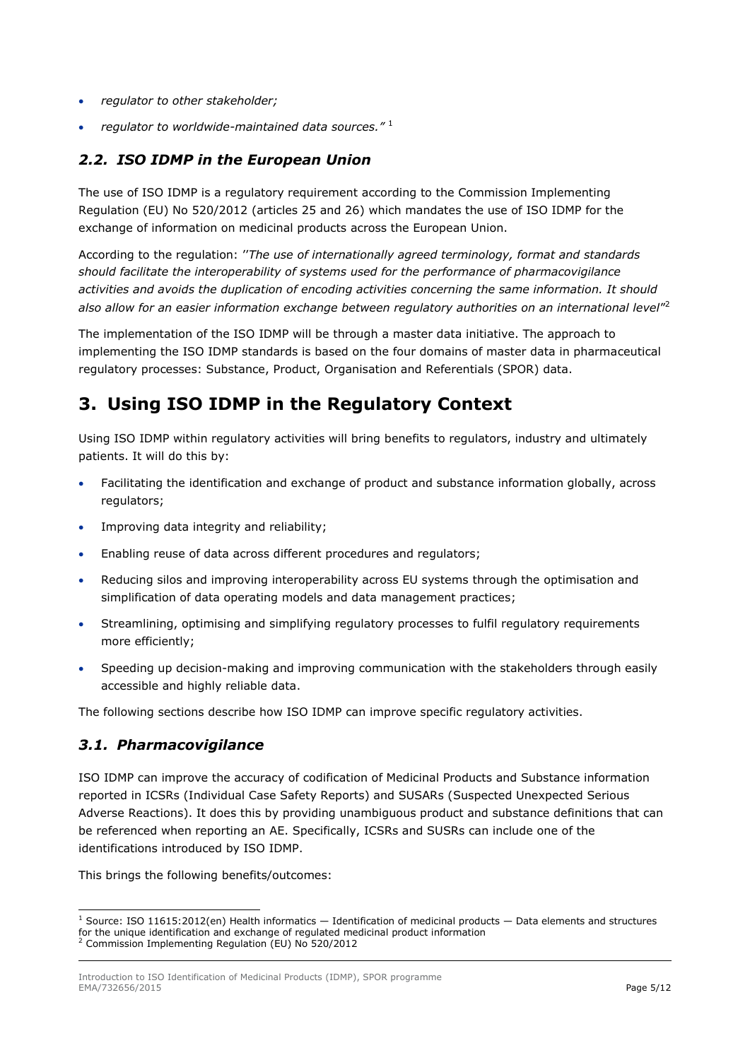- *regulator to other stakeholder;*
- *regulator to worldwide-maintained data sources."* <sup>1</sup>

### <span id="page-4-0"></span>*2.2. ISO IDMP in the European Union*

The use of ISO IDMP is a regulatory requirement according to the Commission Implementing Regulation (EU) No 520/2012 (articles 25 and 26) which mandates the use of ISO IDMP for the exchange of information on medicinal products across the European Union.

According to the regulation: ''*The use of internationally agreed terminology, format and standards should facilitate the interoperability of systems used for the performance of pharmacovigilance activities and avoids the duplication of encoding activities concerning the same information. It should also allow for an easier information exchange between regulatory authorities on an international level*" 2

The implementation of the ISO IDMP will be through a master data initiative. The approach to implementing the ISO IDMP standards is based on the four domains of master data in pharmaceutical regulatory processes: Substance, Product, Organisation and Referentials (SPOR) data.

## <span id="page-4-1"></span>**3. Using ISO IDMP in the Regulatory Context**

Using ISO IDMP within regulatory activities will bring benefits to regulators, industry and ultimately patients. It will do this by:

- Facilitating the identification and exchange of product and substance information globally, across regulators;
- Improving data integrity and reliability;
- Enabling reuse of data across different procedures and regulators;
- Reducing silos and improving interoperability across EU systems through the optimisation and simplification of data operating models and data management practices;
- Streamlining, optimising and simplifying regulatory processes to fulfil regulatory requirements more efficiently;
- Speeding up decision-making and improving communication with the stakeholders through easily accessible and highly reliable data.

The following sections describe how ISO IDMP can improve specific regulatory activities.

#### <span id="page-4-2"></span>*3.1. Pharmacovigilance*

ł

ISO IDMP can improve the accuracy of codification of Medicinal Products and Substance information reported in ICSRs (Individual Case Safety Reports) and SUSARs (Suspected Unexpected Serious Adverse Reactions). It does this by providing unambiguous product and substance definitions that can be referenced when reporting an AE. Specifically, ICSRs and SUSRs can include one of the identifications introduced by ISO IDMP.

This brings the following benefits/outcomes:

 $1$  Source: ISO 11615:2012(en) Health informatics  $-$  Identification of medicinal products  $-$  Data elements and structures for the unique identification and exchange of regulated medicinal product information <sup>2</sup> Commission Implementing Regulation (EU) No 520/2012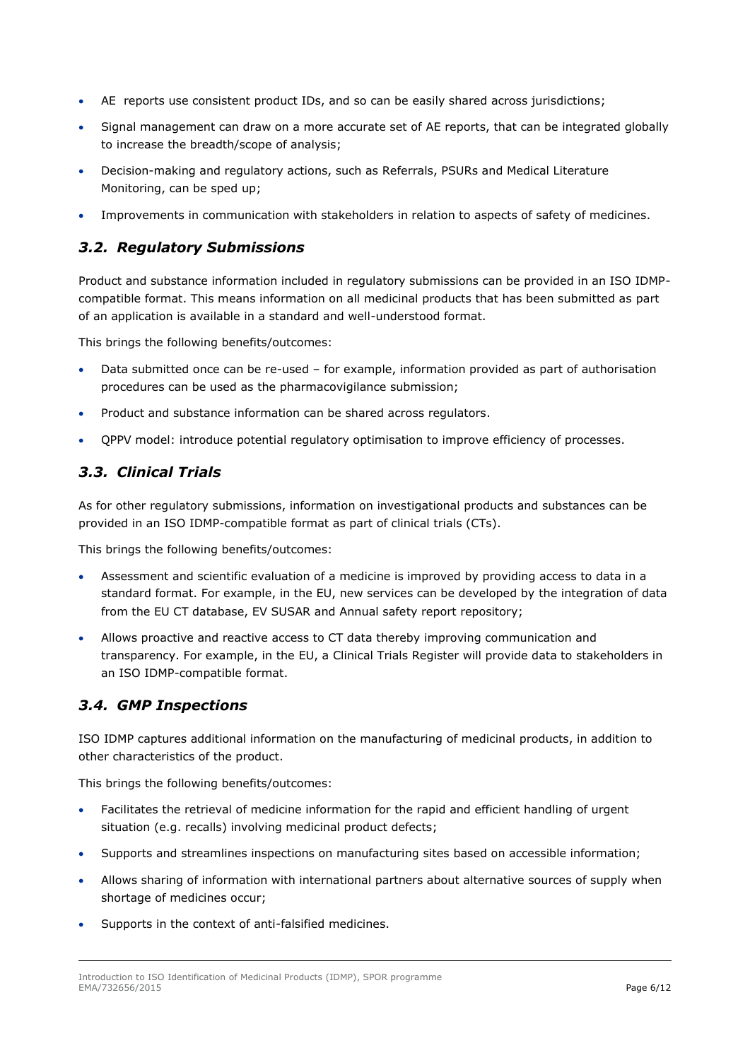- AE reports use consistent product IDs, and so can be easily shared across jurisdictions;
- Signal management can draw on a more accurate set of AE reports, that can be integrated globally to increase the breadth/scope of analysis;
- Decision-making and regulatory actions, such as Referrals, PSURs and Medical Literature Monitoring, can be sped up;
- Improvements in communication with stakeholders in relation to aspects of safety of medicines.

### <span id="page-5-0"></span>*3.2. Regulatory Submissions*

Product and substance information included in regulatory submissions can be provided in an ISO IDMPcompatible format. This means information on all medicinal products that has been submitted as part of an application is available in a standard and well-understood format.

This brings the following benefits/outcomes:

- Data submitted once can be re-used for example, information provided as part of authorisation procedures can be used as the pharmacovigilance submission;
- Product and substance information can be shared across regulators.
- QPPV model: introduce potential regulatory optimisation to improve efficiency of processes.

## <span id="page-5-1"></span>*3.3. Clinical Trials*

As for other regulatory submissions, information on investigational products and substances can be provided in an ISO IDMP-compatible format as part of clinical trials (CTs).

This brings the following benefits/outcomes:

- Assessment and scientific evaluation of a medicine is improved by providing access to data in a standard format. For example, in the EU, new services can be developed by the integration of data from the EU CT database, EV SUSAR and Annual safety report repository;
- Allows proactive and reactive access to CT data thereby improving communication and transparency. For example, in the EU, a Clinical Trials Register will provide data to stakeholders in an ISO IDMP-compatible format.

### <span id="page-5-2"></span>*3.4. GMP Inspections*

ISO IDMP captures additional information on the manufacturing of medicinal products, in addition to other characteristics of the product.

This brings the following benefits/outcomes:

- Facilitates the retrieval of medicine information for the rapid and efficient handling of urgent situation (e.g. recalls) involving medicinal product defects;
- Supports and streamlines inspections on manufacturing sites based on accessible information;
- Allows sharing of information with international partners about alternative sources of supply when shortage of medicines occur;
- Supports in the context of anti-falsified medicines.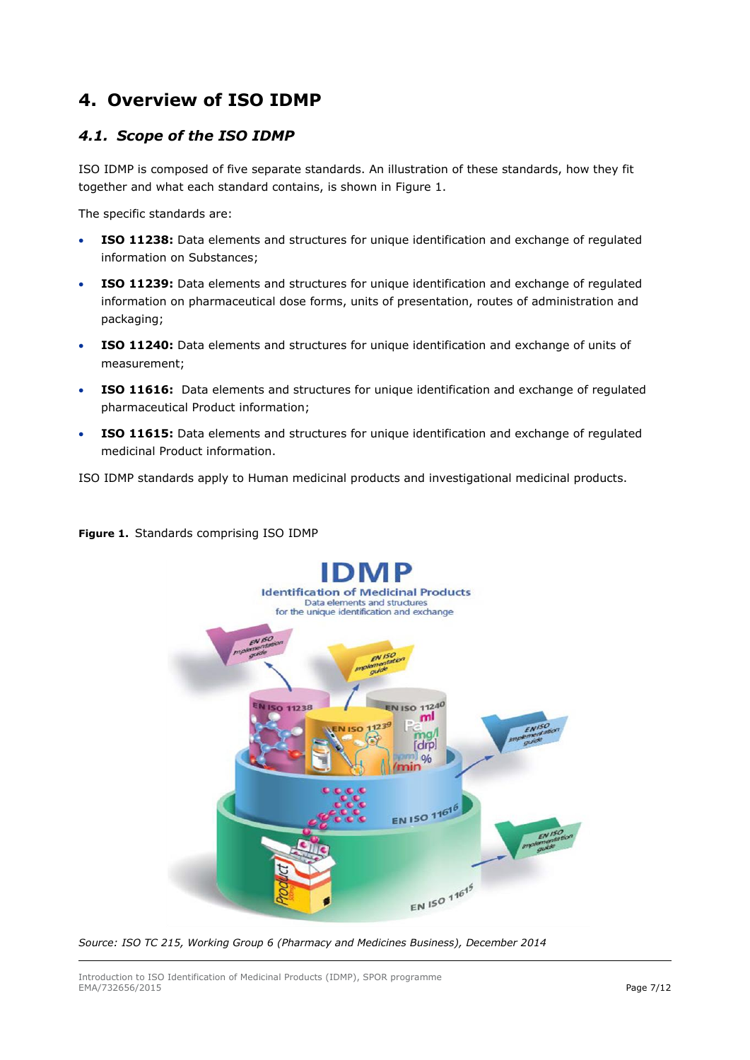## <span id="page-6-0"></span>**4. Overview of ISO IDMP**

## <span id="page-6-1"></span>*4.1. Scope of the ISO IDMP*

ISO IDMP is composed of five separate standards. An illustration of these standards, how they fit together and what each standard contains, is shown in Figure 1.

The specific standards are:

- **ISO 11238:** Data elements and structures for unique identification and exchange of regulated information on Substances;
- **ISO 11239:** Data elements and structures for unique identification and exchange of regulated information on pharmaceutical dose forms, units of presentation, routes of administration and packaging;
- **ISO 11240:** Data elements and structures for unique identification and exchange of units of measurement;
- **ISO 11616:** Data elements and structures for unique identification and exchange of regulated pharmaceutical Product information;
- **ISO 11615:** Data elements and structures for unique identification and exchange of regulated medicinal Product information.

ISO IDMP standards apply to Human medicinal products and investigational medicinal products.



#### **Figure 1.** Standards comprising ISO IDMP

*Source: ISO TC 215, Working Group 6 (Pharmacy and Medicines Business), December 2014*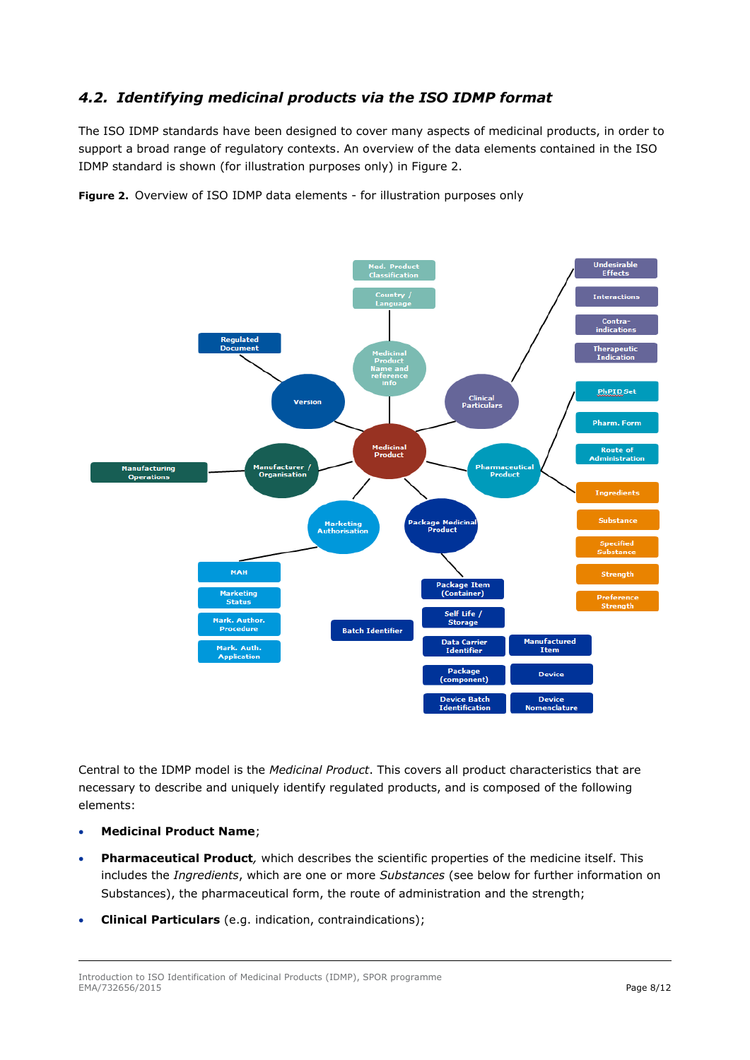## <span id="page-7-0"></span>*4.2. Identifying medicinal products via the ISO IDMP format*

The ISO IDMP standards have been designed to cover many aspects of medicinal products, in order to support a broad range of regulatory contexts. An overview of the data elements contained in the ISO IDMP standard is shown (for illustration purposes only) in [Figure 2.](#page-7-1) 

<span id="page-7-1"></span>**Figure 2.** Overview of ISO IDMP data elements - for illustration purposes only



Central to the IDMP model is the *Medicinal Product*. This covers all product characteristics that are necessary to describe and uniquely identify regulated products, and is composed of the following elements:

- **Medicinal Product Name**;
- **Pharmaceutical Product***,* which describes the scientific properties of the medicine itself. This includes the *Ingredients*, which are one or more *Substances* (see below for further information on Substances), the pharmaceutical form, the route of administration and the strength;
- **Clinical Particulars** (e.g. indication, contraindications);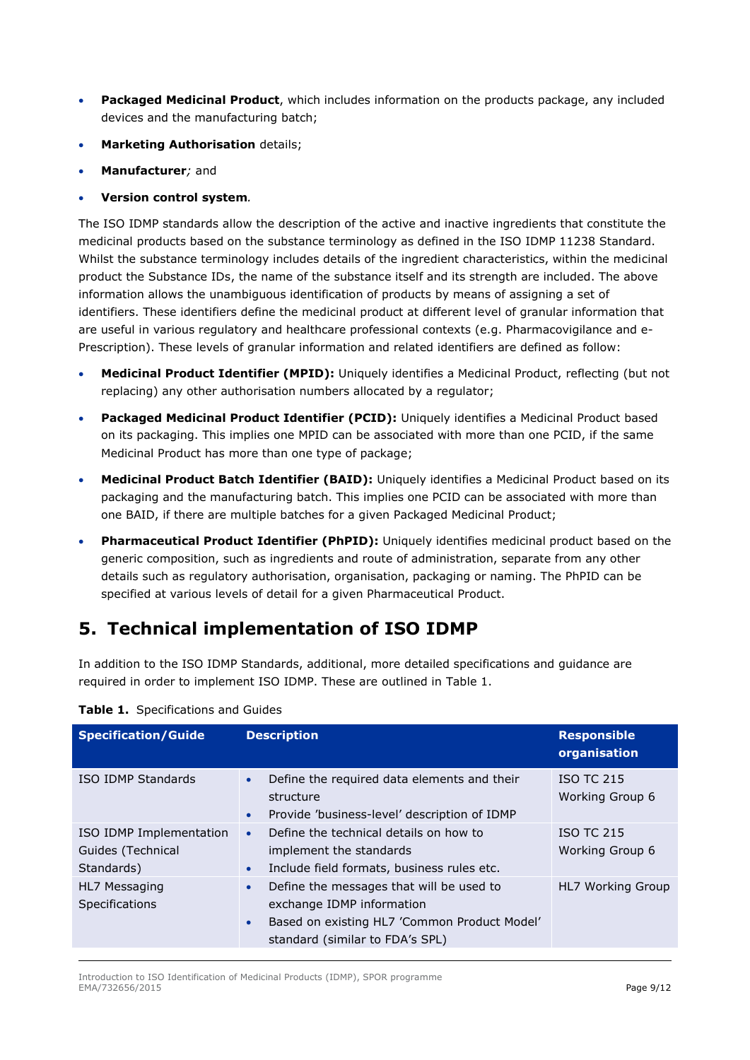- **Packaged Medicinal Product**, which includes information on the products package, any included devices and the manufacturing batch;
- **Marketing Authorisation** details;
- **Manufacturer***;* and
- **Version control system***.*

The ISO IDMP standards allow the description of the active and inactive ingredients that constitute the medicinal products based on the substance terminology as defined in the ISO IDMP 11238 Standard. Whilst the substance terminology includes details of the ingredient characteristics, within the medicinal product the Substance IDs, the name of the substance itself and its strength are included. The above information allows the unambiguous identification of products by means of assigning a set of identifiers. These identifiers define the medicinal product at different level of granular information that are useful in various regulatory and healthcare professional contexts (e.g. Pharmacovigilance and e-Prescription). These levels of granular information and related identifiers are defined as follow:

- **Medicinal Product Identifier (MPID):** Uniquely identifies a Medicinal Product, reflecting (but not replacing) any other authorisation numbers allocated by a regulator;
- **Packaged Medicinal Product Identifier (PCID):** Uniquely identifies a Medicinal Product based on its packaging. This implies one MPID can be associated with more than one PCID, if the same Medicinal Product has more than one type of package;
- **Medicinal Product Batch Identifier (BAID):** Uniquely identifies a Medicinal Product based on its packaging and the manufacturing batch. This implies one PCID can be associated with more than one BAID, if there are multiple batches for a given Packaged Medicinal Product;
- **Pharmaceutical Product Identifier (PhPID):** Uniquely identifies medicinal product based on the generic composition, such as ingredients and route of administration, separate from any other details such as regulatory authorisation, organisation, packaging or naming. The PhPID can be specified at various levels of detail for a given Pharmaceutical Product.

## <span id="page-8-0"></span>**5. Technical implementation of ISO IDMP**

In addition to the ISO IDMP Standards, additional, more detailed specifications and guidance are required in order to implement ISO IDMP. These are outlined in [Table 1.](#page-8-1) 

| <b>Specification/Guide</b>                                 | <b>Description</b>                                                                                                                                                                 | <b>Responsible</b><br>organisation   |
|------------------------------------------------------------|------------------------------------------------------------------------------------------------------------------------------------------------------------------------------------|--------------------------------------|
| ISO IDMP Standards                                         | Define the required data elements and their<br>$\bullet$<br>structure<br>Provide 'business-level' description of IDMP<br>$\bullet$                                                 | <b>ISO TC 215</b><br>Working Group 6 |
| ISO IDMP Implementation<br>Guides (Technical<br>Standards) | Define the technical details on how to<br>$\bullet$<br>implement the standards<br>Include field formats, business rules etc.<br>$\bullet$                                          | <b>ISO TC 215</b><br>Working Group 6 |
| HL7 Messaging<br><b>Specifications</b>                     | Define the messages that will be used to<br>$\bullet$<br>exchange IDMP information<br>Based on existing HL7 'Common Product Model'<br>$\bullet$<br>standard (similar to FDA's SPL) | HL7 Working Group                    |

<span id="page-8-1"></span>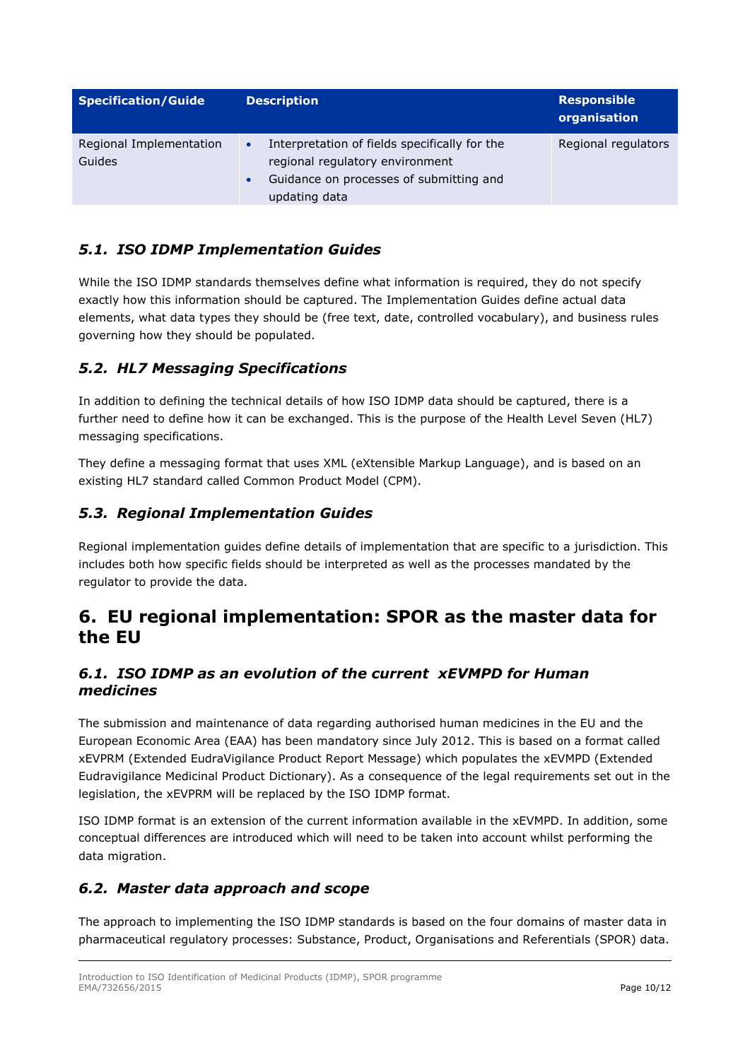| <b>Specification/Guide</b>        | <b>Description</b>                                                                                                                                                     | <b>Responsible</b><br>organisation |
|-----------------------------------|------------------------------------------------------------------------------------------------------------------------------------------------------------------------|------------------------------------|
| Regional Implementation<br>Guides | Interpretation of fields specifically for the<br>$\bullet$<br>regional regulatory environment<br>Guidance on processes of submitting and<br>$\bullet$<br>updating data | Regional regulators                |

## <span id="page-9-0"></span>*5.1. ISO IDMP Implementation Guides*

While the ISO IDMP standards themselves define what information is required, they do not specify exactly how this information should be captured. The Implementation Guides define actual data elements, what data types they should be (free text, date, controlled vocabulary), and business rules governing how they should be populated.

## <span id="page-9-1"></span>*5.2. HL7 Messaging Specifications*

In addition to defining the technical details of how ISO IDMP data should be captured, there is a further need to define how it can be exchanged. This is the purpose of the Health Level Seven (HL7) messaging specifications.

They define a messaging format that uses XML (eXtensible Markup Language), and is based on an existing HL7 standard called Common Product Model (CPM).

## <span id="page-9-2"></span>*5.3. Regional Implementation Guides*

Regional implementation guides define details of implementation that are specific to a jurisdiction. This includes both how specific fields should be interpreted as well as the processes mandated by the regulator to provide the data.

## <span id="page-9-3"></span>**6. EU regional implementation: SPOR as the master data for the EU**

### <span id="page-9-4"></span>*6.1. ISO IDMP as an evolution of the current xEVMPD for Human medicines*

The submission and maintenance of data regarding authorised human medicines in the EU and the European Economic Area (EAA) has been mandatory since July 2012. This is based on a format called xEVPRM (Extended EudraVigilance Product Report Message) which populates the xEVMPD (Extended Eudravigilance Medicinal Product Dictionary). As a consequence of the legal requirements set out in the legislation, the xEVPRM will be replaced by the ISO IDMP format.

ISO IDMP format is an extension of the current information available in the xEVMPD. In addition, some conceptual differences are introduced which will need to be taken into account whilst performing the data migration.

## <span id="page-9-5"></span>*6.2. Master data approach and scope*

The approach to implementing the ISO IDMP standards is based on the four domains of master data in pharmaceutical regulatory processes: Substance, Product, Organisations and Referentials (SPOR) data.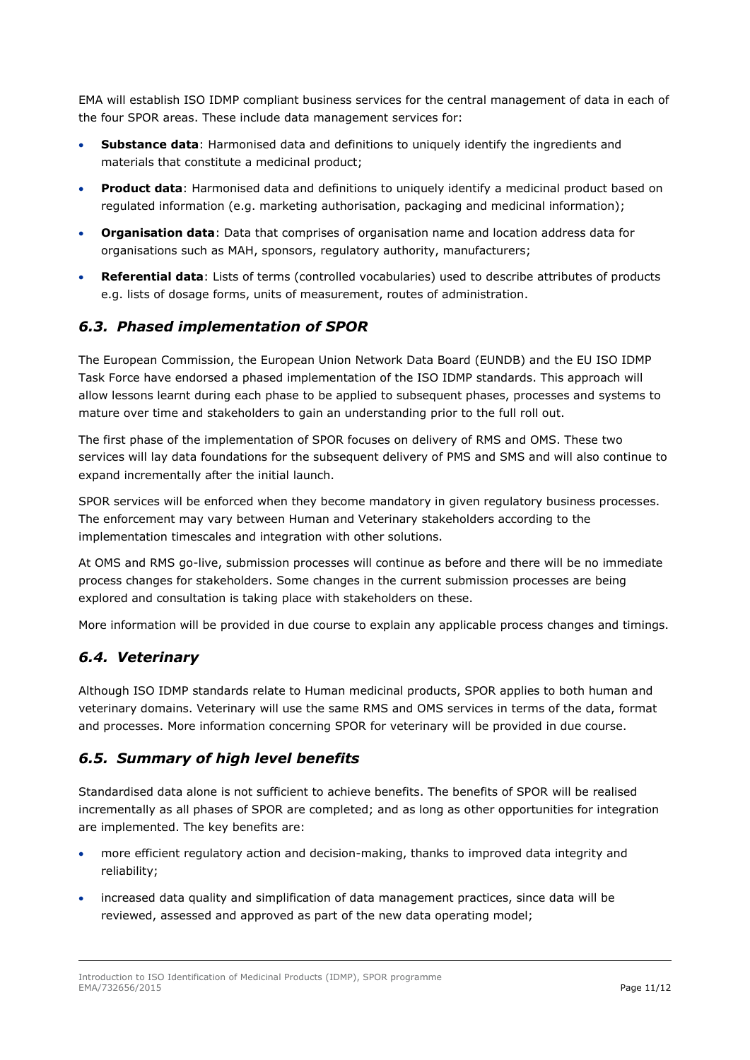EMA will establish ISO IDMP compliant business services for the central management of data in each of the four SPOR areas. These include data management services for:

- **Substance data**: Harmonised data and definitions to uniquely identify the ingredients and materials that constitute a medicinal product;
- **Product data**: Harmonised data and definitions to uniquely identify a medicinal product based on regulated information (e.g. marketing authorisation, packaging and medicinal information);
- **Organisation data**: Data that comprises of organisation name and location address data for organisations such as MAH, sponsors, regulatory authority, manufacturers;
- **Referential data**: Lists of terms (controlled vocabularies) used to describe attributes of products e.g. lists of dosage forms, units of measurement, routes of administration.

### <span id="page-10-0"></span>*6.3. Phased implementation of SPOR*

The European Commission, the European Union Network Data Board (EUNDB) and the EU ISO IDMP Task Force have endorsed a phased implementation of the ISO IDMP standards. This approach will allow lessons learnt during each phase to be applied to subsequent phases, processes and systems to mature over time and stakeholders to gain an understanding prior to the full roll out.

The first phase of the implementation of SPOR focuses on delivery of RMS and OMS. These two services will lay data foundations for the subsequent delivery of PMS and SMS and will also continue to expand incrementally after the initial launch.

SPOR services will be enforced when they become mandatory in given regulatory business processes. The enforcement may vary between Human and Veterinary stakeholders according to the implementation timescales and integration with other solutions.

At OMS and RMS go-live, submission processes will continue as before and there will be no immediate process changes for stakeholders. Some changes in the current submission processes are being explored and consultation is taking place with stakeholders on these.

More information will be provided in due course to explain any applicable process changes and timings.

#### <span id="page-10-1"></span>*6.4. Veterinary*

Although ISO IDMP standards relate to Human medicinal products, SPOR applies to both human and veterinary domains. Veterinary will use the same RMS and OMS services in terms of the data, format and processes. More information concerning SPOR for veterinary will be provided in due course.

#### <span id="page-10-2"></span>*6.5. Summary of high level benefits*

Standardised data alone is not sufficient to achieve benefits. The benefits of SPOR will be realised incrementally as all phases of SPOR are completed; and as long as other opportunities for integration are implemented. The key benefits are:

- more efficient regulatory action and decision-making, thanks to improved data integrity and reliability;
- increased data quality and simplification of data management practices, since data will be reviewed, assessed and approved as part of the new data operating model;